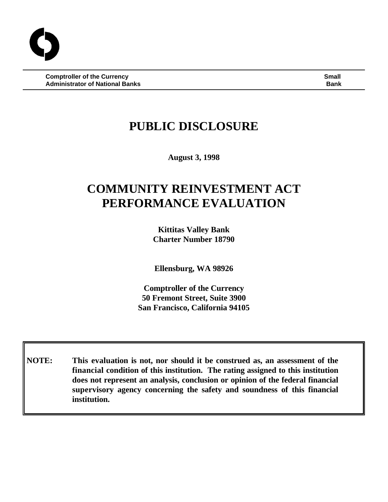**Comptroller of the Currency Small Administrator of National Banks Bank**

## **PUBLIC DISCLOSURE**

**August 3, 1998**

# **COMMUNITY REINVESTMENT ACT PERFORMANCE EVALUATION**

**Kittitas Valley Bank Charter Number 18790**

**Ellensburg, WA 98926**

**Comptroller of the Currency 50 Fremont Street, Suite 3900 San Francisco, California 94105**

**NOTE: This evaluation is not, nor should it be construed as, an assessment of the financial condition of this institution. The rating assigned to this institution does not represent an analysis, conclusion or opinion of the federal financial supervisory agency concerning the safety and soundness of this financial institution.**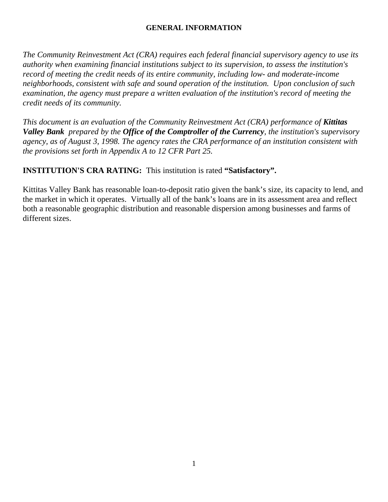#### **GENERAL INFORMATION**

*The Community Reinvestment Act (CRA) requires each federal financial supervisory agency to use its authority when examining financial institutions subject to its supervision, to assess the institution's record of meeting the credit needs of its entire community, including low- and moderate-income neighborhoods, consistent with safe and sound operation of the institution. Upon conclusion of such examination, the agency must prepare a written evaluation of the institution's record of meeting the credit needs of its community.* 

*This document is an evaluation of the Community Reinvestment Act (CRA) performance of Kittitas Valley Bank prepared by the Office of the Comptroller of the Currency, the institution's supervisory agency, as of August 3, 1998. The agency rates the CRA performance of an institution consistent with the provisions set forth in Appendix A to 12 CFR Part 25.*

## **INSTITUTION'S CRA RATING:** This institution is rated **"Satisfactory".**

Kittitas Valley Bank has reasonable loan-to-deposit ratio given the bank's size, its capacity to lend, and the market in which it operates. Virtually all of the bank's loans are in its assessment area and reflect both a reasonable geographic distribution and reasonable dispersion among businesses and farms of different sizes.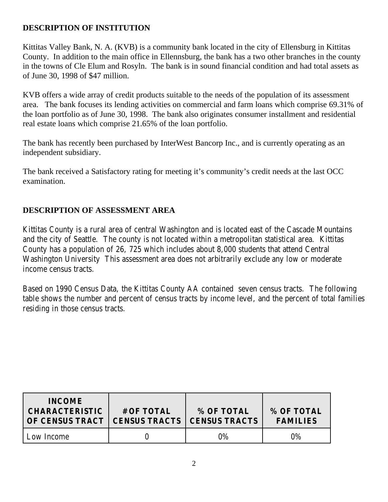## **DESCRIPTION OF INSTITUTION**

Kittitas Valley Bank, N. A. (KVB) is a community bank located in the city of Ellensburg in Kittitas County. In addition to the main office in Ellennsburg, the bank has a two other branches in the county in the towns of Cle Elum and Rosyln. The bank is in sound financial condition and had total assets as of June 30, 1998 of \$47 million.

KVB offers a wide array of credit products suitable to the needs of the population of its assessment area. The bank focuses its lending activities on commercial and farm loans which comprise 69.31% of the loan portfolio as of June 30, 1998. The bank also originates consumer installment and residential real estate loans which comprise 21.65% of the loan portfolio.

The bank has recently been purchased by InterWest Bancorp Inc., and is currently operating as an independent subsidiary.

The bank received a Satisfactory rating for meeting it's community's credit needs at the last OCC examination.

## **DESCRIPTION OF ASSESSMENT AREA**

Kittitas County is a rural area of central Washington and is located east of the Cascade Mountains and the city of Seattle. The county is not located within a metropolitan statistical area. Kittitas County has a population of 26, 725 which includes about 8,000 students that attend Central Washington University This assessment area does not arbitrarily exclude any low or moderate income census tracts.

Based on 1990 Census Data, the Kittitas County AA contained seven census tracts. The following table shows the number and percent of census tracts by income level, and the percent of total families residing in those census tracts.

| <b>INCOME</b><br><b>CHARACTERISTIC</b><br>OF CENSUS TRACT | # OF TOTAL<br><b>CENSUS TRACTS</b> | % OF TOTAL<br><b>CENSUS TRACTS</b> | % OF TOTAL<br><b>FAMILIES</b> |
|-----------------------------------------------------------|------------------------------------|------------------------------------|-------------------------------|
| Low Income                                                |                                    | $0\%$                              | $0\%$                         |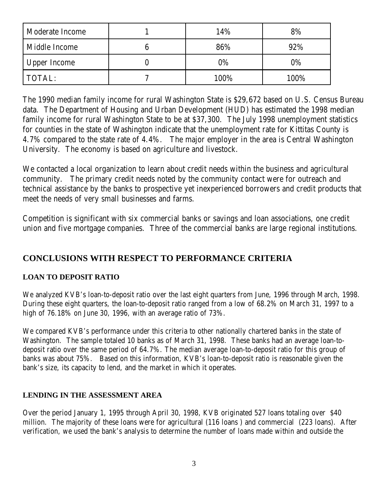| Moderate Income | 14%   | 8%    |
|-----------------|-------|-------|
| Middle Income   | 86%   | 92%   |
| Upper Income    | $0\%$ | $0\%$ |
| TOTAL:          | 100%  | 100%  |

The 1990 median family income for rural Washington State is \$29,672 based on U.S. Census Bureau data. The Department of Housing and Urban Development (HUD) has estimated the 1998 median family income for rural Washington State to be at \$37,300. The July 1998 unemployment statistics for counties in the state of Washington indicate that the unemployment rate for Kittitas County is 4.7% compared to the state rate of 4.4%. The major employer in the area is Central Washington University. The economy is based on agriculture and livestock.

We contacted a local organization to learn about credit needs within the business and agricultural community. The primary credit needs noted by the community contact were for outreach and technical assistance by the banks to prospective yet inexperienced borrowers and credit products that meet the needs of very small businesses and farms.

Competition is significant with six commercial banks or savings and loan associations, one credit union and five mortgage companies. Three of the commercial banks are large regional institutions.

## **CONCLUSIONS WITH RESPECT TO PERFORMANCE CRITERIA**

#### **LOAN TO DEPOSIT RATIO**

We analyzed KVB's loan-to-deposit ratio over the last eight quarters from June, 1996 through March, 1998. During these eight quarters, the loan-to-deposit ratio ranged from a low of 68.2% on March 31, 1997 to a high of 76.18% on June 30, 1996, with an average ratio of 73%.

We compared KVB's performance under this criteria to other nationally chartered banks in the state of Washington. The sample totaled 10 banks as of March 31, 1998. These banks had an average loan-todeposit ratio over the same period of 64.7%. The median average loan-to-deposit ratio for this group of banks was about 75%. Based on this information, KVB's loan-to-deposit ratio is reasonable given the bank's size, its capacity to lend, and the market in which it operates.

#### **LENDING IN THE ASSESSMENT AREA**

Over the period January 1, 1995 through April 30, 1998, KVB originated 527 loans totaling over \$40 million. The majority of these loans were for agricultural (116 loans ) and commercial (223 loans). After verification, we used the bank's analysis to determine the number of loans made within and outside the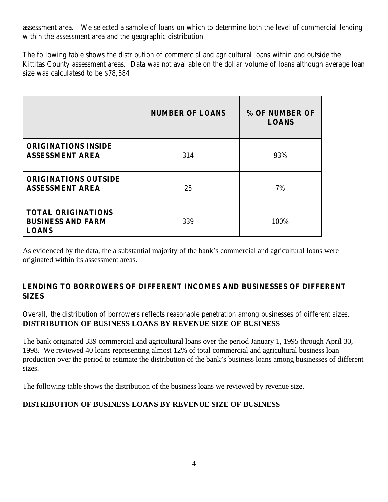assessment area. We selected a sample of loans on which to determine both the level of commercial lending within the assessment area and the geographic distribution.

The following table shows the distribution of commercial and agricultural loans within and outside the Kittitas County assessment areas. Data was not available on the dollar volume of loans although average loan size was calculatesd to be \$78,584

|                                                                       | <b>NUMBER OF LOANS</b> | % OF NUMBER OF<br><b>LOANS</b> |
|-----------------------------------------------------------------------|------------------------|--------------------------------|
| <b>ORIGINATIONS INSIDE</b><br><b>ASSESSMENT AREA</b>                  | 314                    | 93%                            |
| <b>ORIGINATIONS OUTSIDE</b><br><b>ASSESSMENT AREA</b>                 | 25                     | 7%                             |
| <b>TOTAL ORIGINATIONS</b><br><b>BUSINESS AND FARM</b><br><b>LOANS</b> | 339                    | 100%                           |

As evidenced by the data, the a substantial majority of the bank's commercial and agricultural loans were originated within its assessment areas.

#### **LENDING TO BORROWERS OF DIFFERENT INCOMES AND BUSINESSES OF DIFFERENT SIZES**

Overall, the distribution of borrowers reflects reasonable penetration among businesses of different sizes. **DISTRIBUTION OF BUSINESS LOANS BY REVENUE SIZE OF BUSINESS** 

The bank originated 339 commercial and agricultural loans over the period January 1, 1995 through April 30, 1998. We reviewed 40 loans representing almost 12% of total commercial and agricultural business loan production over the period to estimate the distribution of the bank's business loans among businesses of different sizes.

The following table shows the distribution of the business loans we reviewed by revenue size.

#### **DISTRIBUTION OF BUSINESS LOANS BY REVENUE SIZE OF BUSINESS**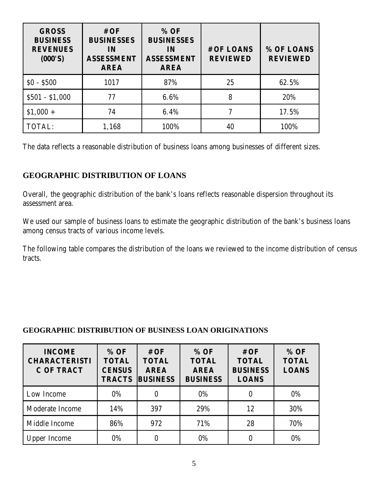| <b>GROSS</b><br><b>BUSINESS</b><br><b>REVENUES</b><br>(000'S) | #OF<br><b>BUSINESSES</b><br>IN<br><b>ASSESSMENT</b><br><b>AREA</b> | % OF<br><b>BUSINESSES</b><br>IN<br><b>ASSESSMENT</b><br><b>AREA</b> | # OF LOANS<br><b>REVIEWED</b> | % OF LOANS<br><b>REVIEWED</b> |
|---------------------------------------------------------------|--------------------------------------------------------------------|---------------------------------------------------------------------|-------------------------------|-------------------------------|
| $$0 - $500$                                                   | 1017                                                               | 87%                                                                 | 25                            | 62.5%                         |
| $$501 - $1,000$                                               | 77                                                                 | 6.6%                                                                | 8                             | 20%                           |
| $$1,000 +$                                                    | 74                                                                 | 6.4%                                                                |                               | 17.5%                         |
| TOTAL:                                                        | 1,168                                                              | 100%                                                                | 40                            | 100%                          |

The data reflects a reasonable distribution of business loans among businesses of different sizes.

## **GEOGRAPHIC DISTRIBUTION OF LOANS**

Overall, the geographic distribution of the bank's loans reflects reasonable dispersion throughout its assessment area.

We used our sample of business loans to estimate the geographic distribution of the bank's business loans among census tracts of various income levels.

The following table compares the distribution of the loans we reviewed to the income distribution of census tracts.

#### **GEOGRAPHIC DISTRIBUTION OF BUSINESS LOAN ORIGINATIONS**

| <b>INCOME</b><br><b>CHARACTERISTI</b><br><b>C OF TRACT</b> | % OF<br><b>TOTAL</b><br><b>CENSUS</b><br><b>TRACTS</b> | #OF<br><b>TOTAL</b><br><b>AREA</b><br><b>BUSINESS</b> | % OF<br><b>TOTAL</b><br><b>AREA</b><br><b>BUSINESS</b> | #OF<br><b>TOTAL</b><br><b>BUSINESS</b><br><b>LOANS</b> | % OF<br><b>TOTAL</b><br><b>LOANS</b> |
|------------------------------------------------------------|--------------------------------------------------------|-------------------------------------------------------|--------------------------------------------------------|--------------------------------------------------------|--------------------------------------|
| Low Income                                                 | $0\%$                                                  |                                                       | $0\%$                                                  |                                                        | $0\%$                                |
| Moderate Income                                            | 14%                                                    | 397                                                   | 29%                                                    | 12                                                     | 30%                                  |
| Middle Income                                              | 86%                                                    | 972                                                   | 71%                                                    | 28                                                     | 70%                                  |
| <b>Upper Income</b>                                        | 0%                                                     |                                                       | $0\%$                                                  |                                                        | 0%                                   |